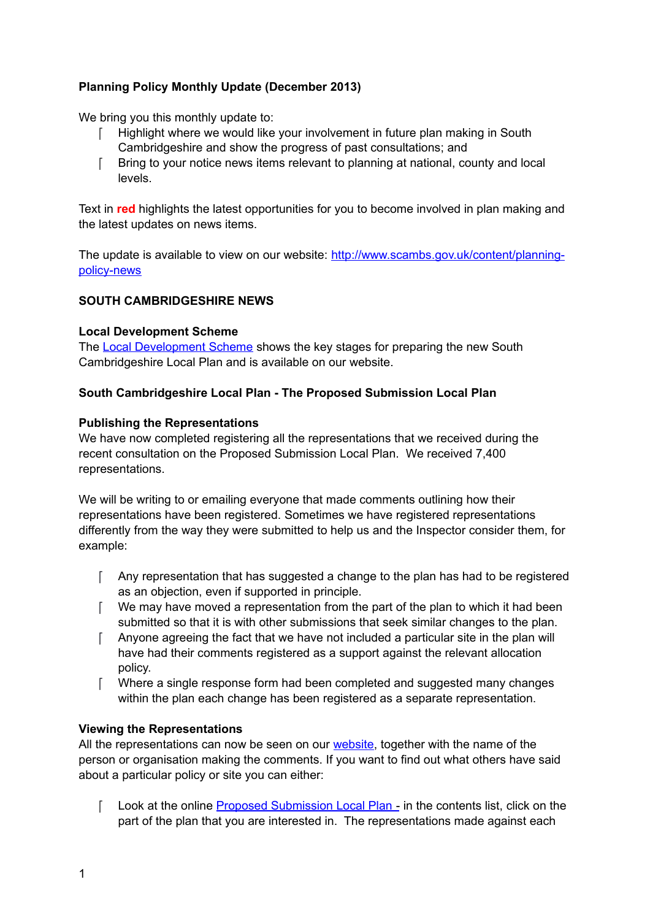# **Planning Policy Monthly Update (December 2013)**

We bring you this monthly update to:

- F Highlight where we would like your involvement in future plan making in South Cambridgeshire and show the progress of past consultations; and
- Bring to your notice news items relevant to planning at national, county and local levels.

Text in **red** highlights the latest opportunities for you to become involved in plan making and the latest updates on news items.

The update is available to view on our website: [http://www.scambs.gov.uk/content/planning](http://www.scambs.gov.uk/content/planning-policy-news)[policy-news](http://www.scambs.gov.uk/content/planning-policy-news)

## **SOUTH CAMBRIDGESHIRE NEWS**

## **Local Development Scheme**

The [Local Development Scheme](http://www.scambs.gov.uk/content/local-development-scheme) shows the key stages for preparing the new South Cambridgeshire Local Plan and is available on our website.

## **South Cambridgeshire Local Plan - The Proposed Submission Local Plan**

## **Publishing the Representations**

We have now completed registering all the representations that we received during the recent consultation on the Proposed Submission Local Plan. We received 7,400 representations.

We will be writing to or emailing everyone that made comments outlining how their representations have been registered. Sometimes we have registered representations differently from the way they were submitted to help us and the Inspector consider them, for example:

- Any representation that has suggested a change to the plan has had to be registered as an objection, even if supported in principle.
- $\lceil$  We may have moved a representation from the part of the plan to which it had been submitted so that it is with other submissions that seek similar changes to the plan.
- Anyone agreeing the fact that we have not included a particular site in the plan will have had their comments registered as a support against the relevant allocation policy.
- Where a single response form had been completed and suggested many changes within the plan each change has been registered as a separate representation.

## **Viewing the Representations**

All the representations can now be seen on our [website,](http://scambs.jdi-consult.net/ldf/) together with the name of the person or organisation making the comments. If you want to find out what others have said about a particular policy or site you can either:

[ Look at the online [Proposed Submission Local Plan -](http://scambs.jdi-consult.net/ldf/readdoc.php?docid=224) in the contents list, click on the part of the plan that you are interested in. The representations made against each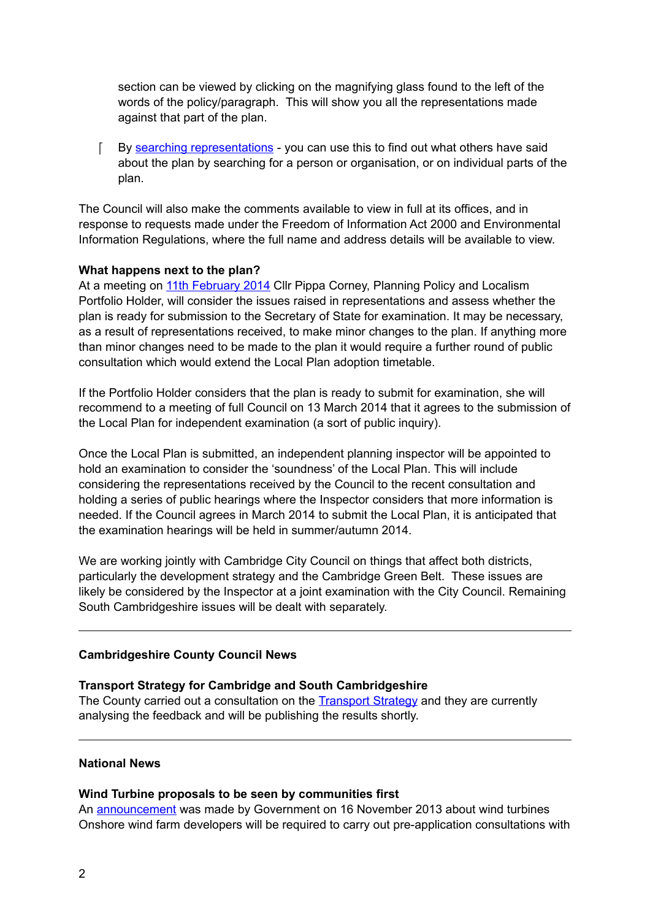section can be viewed by clicking on the magnifying glass found to the left of the words of the policy/paragraph. This will show you all the representations made against that part of the plan.

F By [searching representations](http://scambs.jdi-consult.net/ldf/viewreps.php?action=search) - you can use this to find out what others have said about the plan by searching for a person or organisation, or on individual parts of the plan.

The Council will also make the comments available to view in full at its offices, and in response to requests made under the Freedom of Information Act 2000 and Environmental Information Regulations, where the full name and address details will be available to view.

#### **What happens next to the plan?**

At a meeting on [11th February 2014](http://scambs.moderngov.co.uk/ieListDocuments.aspx?CId=1024&MId=6237&Ver=4) Cllr Pippa Corney, Planning Policy and Localism Portfolio Holder, will consider the issues raised in representations and assess whether the plan is ready for submission to the Secretary of State for examination. It may be necessary, as a result of representations received, to make minor changes to the plan. If anything more than minor changes need to be made to the plan it would require a further round of public consultation which would extend the Local Plan adoption timetable.

If the Portfolio Holder considers that the plan is ready to submit for examination, she will recommend to a meeting of full Council on 13 March 2014 that it agrees to the submission of the Local Plan for independent examination (a sort of public inquiry).

Once the Local Plan is submitted, an independent planning inspector will be appointed to hold an examination to consider the 'soundness' of the Local Plan. This will include considering the representations received by the Council to the recent consultation and holding a series of public hearings where the Inspector considers that more information is needed. If the Council agrees in March 2014 to submit the Local Plan, it is anticipated that the examination hearings will be held in summer/autumn 2014.

We are working jointly with Cambridge City Council on things that affect both districts, particularly the development strategy and the Cambridge Green Belt. These issues are likely be considered by the Inspector at a joint examination with the City Council. Remaining South Cambridgeshire issues will be dealt with separately.

## **Cambridgeshire County Council News**

## **Transport Strategy for Cambridge and South Cambridgeshire**

The County carried out a consultation on the [Transport Strategy](http://www.cambridgeshire.gov.uk/transport/strategies/transport-plans/Transport+Strategy+for+Cambridge+and+South+Cambridgeshire.htm) and they are currently analysing the feedback and will be publishing the results shortly.

### **National News**

#### **Wind Turbine proposals to be seen by communities first**

An [announcement](https://www.gov.uk/government/news/wind-turbine-proposals-to-be-seen-by-communities-first) was made by Government on 16 November 2013 about wind turbines Onshore wind farm developers will be required to carry out pre-application consultations with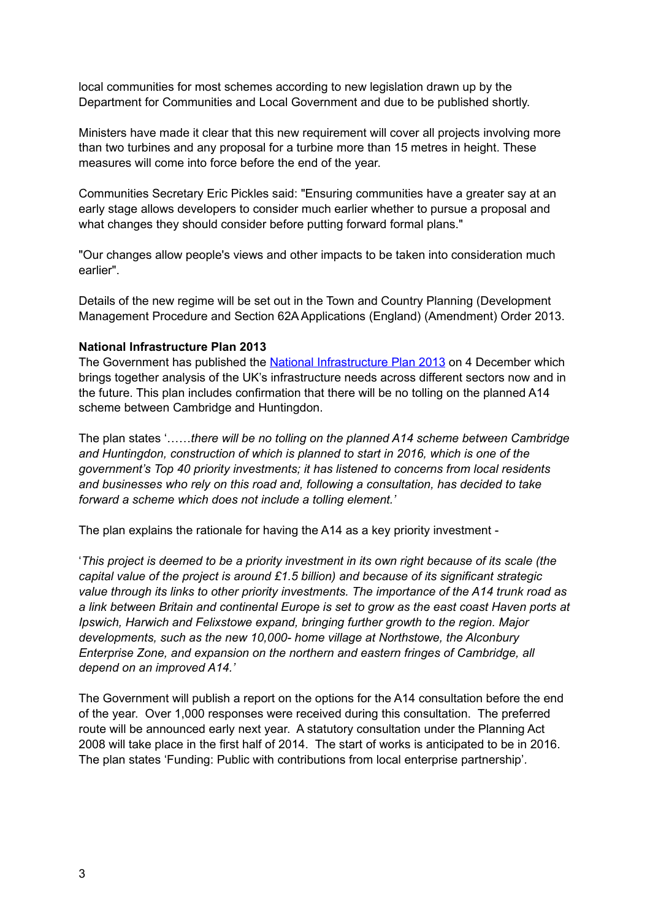local communities for most schemes according to new legislation drawn up by the Department for Communities and Local Government and due to be published shortly.

Ministers have made it clear that this new requirement will cover all projects involving more than two turbines and any proposal for a turbine more than 15 metres in height. These measures will come into force before the end of the year.

Communities Secretary Eric Pickles said: "Ensuring communities have a greater say at an early stage allows developers to consider much earlier whether to pursue a proposal and what changes they should consider before putting forward formal plans."

"Our changes allow people's views and other impacts to be taken into consideration much earlier".

Details of the new regime will be set out in the Town and Country Planning (Development Management Procedure and Section 62A Applications (England) (Amendment) Order 2013.

#### **National Infrastructure Plan 2013**

The Government has published the [National Infrastructure Plan 2013](https://www.gov.uk/government/publications/national-infrastructure-plan-2013) on 4 December which brings together analysis of the UK's infrastructure needs across different sectors now and in the future. This plan includes confirmation that there will be no tolling on the planned A14 scheme between Cambridge and Huntingdon.

The plan states '……*there will be no tolling on the planned A14 scheme between Cambridge and Huntingdon, construction of which is planned to start in 2016, which is one of the government's Top 40 priority investments; it has listened to concerns from local residents and businesses who rely on this road and, following a consultation, has decided to take forward a scheme which does not include a tolling element.'*

The plan explains the rationale for having the A14 as a key priority investment -

'*This project is deemed to be a priority investment in its own right because of its scale (the capital value of the project is around £1.5 billion) and because of its significant strategic value through its links to other priority investments. The importance of the A14 trunk road as a link between Britain and continental Europe is set to grow as the east coast Haven ports at Ipswich, Harwich and Felixstowe expand, bringing further growth to the region. Major developments, such as the new 10,000- home village at Northstowe, the Alconbury Enterprise Zone, and expansion on the northern and eastern fringes of Cambridge, all depend on an improved A14.'*

The Government will publish a report on the options for the A14 consultation before the end of the year. Over 1,000 responses were received during this consultation. The preferred route will be announced early next year. A statutory consultation under the Planning Act 2008 will take place in the first half of 2014. The start of works is anticipated to be in 2016. The plan states 'Funding: Public with contributions from local enterprise partnership'*.*